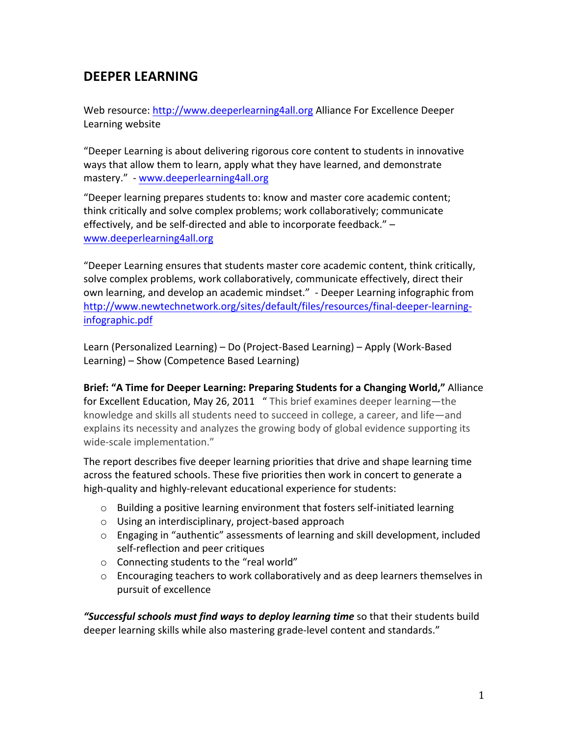## **DEEPER LEARNING**

Web resource: http://www.deeperlearning4all.org Alliance For Excellence Deeper Learning website

"Deeper Learning is about delivering rigorous core content to students in innovative ways that allow them to learn, apply what they have learned, and demonstrate mastery." - www.deeperlearning4all.org

"Deeper learning prepares students to: know and master core academic content; think critically and solve complex problems; work collaboratively; communicate effectively, and be self-directed and able to incorporate feedback." – www.deeperlearning4all.org

"Deeper Learning ensures that students master core academic content, think critically, solve complex problems, work collaboratively, communicate effectively, direct their own learning, and develop an academic mindset."  $\overline{\phantom{a}}$  Deeper Learning infographic from http://www.newtechnetwork.org/sites/default/files/resources/final-deeper-learninginfographic.pdf

Learn (Personalized Learning) – Do (Project-Based Learning) – Apply (Work-Based Learning) – Show (Competence Based Learning)

Brief: "A Time for Deeper Learning: Preparing Students for a Changing World," Alliance for Excellent Education, May 26, 2011 " This brief examines deeper learning-the knowledge and skills all students need to succeed in college, a career, and life—and explains its necessity and analyzes the growing body of global evidence supporting its wide-scale implementation."

The report describes five deeper learning priorities that drive and shape learning time across the featured schools. These five priorities then work in concert to generate a high-quality and highly-relevant educational experience for students:

- $\circ$  Building a positive learning environment that fosters self-initiated learning
- $\circ$  Using an interdisciplinary, project-based approach
- $\circ$  Engaging in "authentic" assessments of learning and skill development, included self-reflection and peer critiques
- $\circ$  Connecting students to the "real world"
- $\circ$  Encouraging teachers to work collaboratively and as deep learners themselves in pursuit of excellence

**"Successful schools must find ways to deploy learning time** so that their students build deeper learning skills while also mastering grade-level content and standards."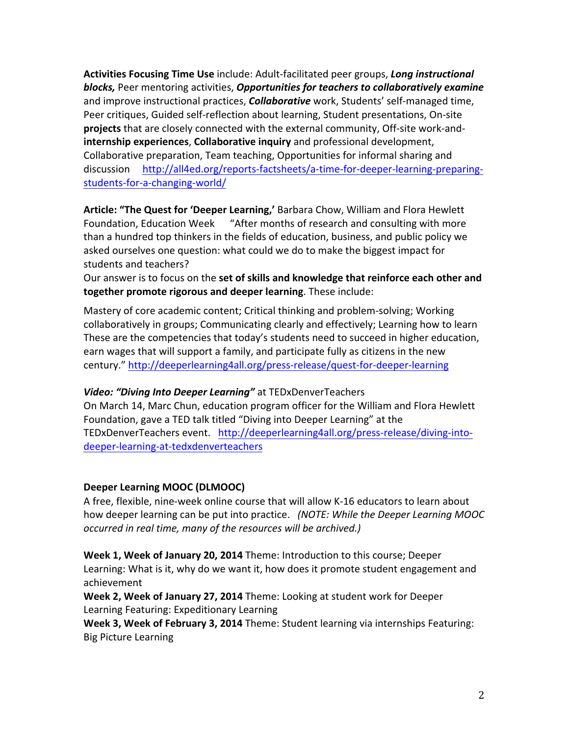Activities Focusing Time Use include: Adult-facilitated peer groups, Long instructional **blocks,** Peer mentoring activities, **Opportunities for teachers to collaboratively examine** and improve instructional practices, **Collaborative** work, Students' self-managed time, Peer critiques, Guided self-reflection about learning, Student presentations, On-site **projects** that are closely connected with the external community, Off-site work-and**internship experiences, Collaborative inquiry** and professional development, Collaborative preparation, Team teaching, Opportunities for informal sharing and discussion http://all4ed.org/reports-factsheets/a-time-for-deeper-learning-preparingstudents-for-a-changing-world/

Article: "The Quest for 'Deeper Learning,' Barbara Chow, William and Flora Hewlett Foundation, Education Week <sup>"</sup>After months of research and consulting with more than a hundred top thinkers in the fields of education, business, and public policy we asked ourselves one question: what could we do to make the biggest impact for students and teachers?

Our answer is to focus on the set of skills and knowledge that reinforce each other and **together promote rigorous and deeper learning**. These include:

Mastery of core academic content; Critical thinking and problem-solving; Working collaboratively in groups; Communicating clearly and effectively; Learning how to learn These are the competencies that today's students need to succeed in higher education, earn wages that will support a family, and participate fully as citizens in the new century." http://deeperlearning4all.org/press-release/quest-for-deeper-learning

## Video: "Diving Into Deeper Learning" at TEDxDenverTeachers

On March 14, Marc Chun, education program officer for the William and Flora Hewlett Foundation, gave a TED talk titled "Diving into Deeper Learning" at the TEDxDenverTeachers event. http://deeperlearning4all.org/press-release/diving-intodeeper-learning-at-tedxdenverteachers

## **Deeper Learning MOOC (DLMOOC)**

A free, flexible, nine-week online course that will allow K-16 educators to learn about how deeper learning can be put into practice. (NOTE: While the Deeper Learning MOOC *occurred'in'real'time,'many'of'the'resources'will'be'archived.)'*

**Week 1, Week of January 20, 2014** Theme: Introduction to this course; Deeper Learning: What is it, why do we want it, how does it promote student engagement and achievement

**Week 2, Week of January 27, 2014** Theme: Looking at student work for Deeper Learning Featuring: Expeditionary Learning

**Week 3, Week of February 3, 2014** Theme: Student learning via internships Featuring: Big Picture Learning